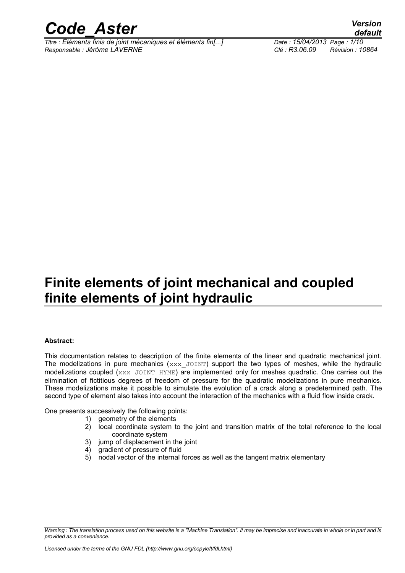

*Titre : Éléments finis de joint mécaniques et éléments fin[...] Date : 15/04/2013 Page : 1/10 Responsable : Jérôme LAVERNE Clé : R3.06.09 Révision : 10864*

## **Finite elements of joint mechanical and coupled finite elements of joint hydraulic**

#### **Abstract:**

This documentation relates to description of the finite elements of the linear and quadratic mechanical joint. The modelizations in pure mechanics ( $xxx$  JOINT) support the two types of meshes, while the hydraulic modelizations coupled  $(xxx_JJolNT_HYME)$  are implemented only for meshes quadratic. One carries out the elimination of fictitious degrees of freedom of pressure for the quadratic modelizations in pure mechanics. These modelizations make it possible to simulate the evolution of a crack along a predetermined path. The second type of element also takes into account the interaction of the mechanics with a fluid flow inside crack.

One presents successively the following points:

- 1) geometry of the elements
- 2) local coordinate system to the joint and transition matrix of the total reference to the local coordinate system
- 3) jump of displacement in the joint
- 4) gradient of pressure of fluid
- 5) nodal vector of the internal forces as well as the tangent matrix elementary

*Warning : The translation process used on this website is a "Machine Translation". It may be imprecise and inaccurate in whole or in part and is provided as a convenience.*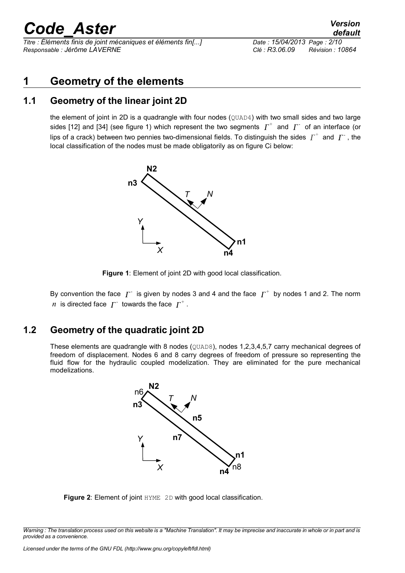*Titre : Éléments finis de joint mécaniques et éléments fin[...] Date : 15/04/2013 Page : 2/10 Responsable : Jérôme LAVERNE Clé : R3.06.09 Révision : 10864*

*default*

### **1 Geometry of the elements**

#### **1.1 Geometry of the linear joint 2D**

the element of joint in 2D is a quadrangle with four nodes (QUAD4) with two small sides and two large sides [12] and [34] (see figure 1) which represent the two segments  $\overline{\varGamma}^+$  and  $\overline{\varGamma}^-$  of an interface (or lips of a crack) between two pennies two-dimensional fields. To distinguish the sides  $\overline{\varGamma}^+$  and  $\overline{\varGamma}^+$ , the local classification of the nodes must be made obligatorily as on figure Ci below:



**Figure 1**: Element of joint 2D with good local classification.

By convention the face  $|\varGamma^+|$  is given by nodes 3 and 4 and the face  $|\varGamma^+|$  by nodes 1 and 2. The norm  $n$  is directed face  $\varGamma^+$  towards the face  $\varGamma^+$  .

#### **1.2 Geometry of the quadratic joint 2D**

These elements are quadrangle with 8 nodes (QUAD8), nodes 1,2,3,4,5,7 carry mechanical degrees of freedom of displacement. Nodes 6 and 8 carry degrees of freedom of pressure so representing the fluid flow for the hydraulic coupled modelization. They are eliminated for the pure mechanical modelizations.



**Figure 2**: Element of joint HYME 2D with good local classification.

*Warning : The translation process used on this website is a "Machine Translation". It may be imprecise and inaccurate in whole or in part and is provided as a convenience.*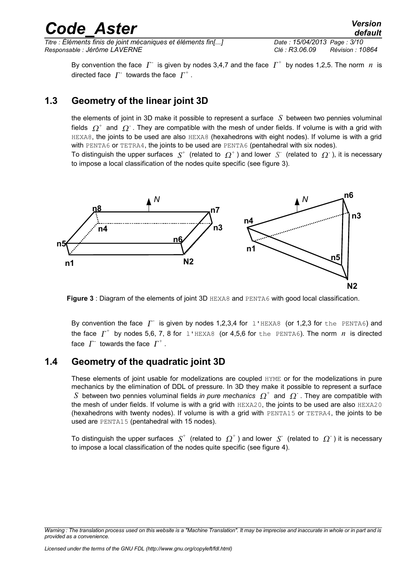*default*

By convention the face  $\varGamma^+$  is given by nodes 3,4,7 and the face  $\varGamma^+$  by nodes 1,2,5. The norm  $\,n\,$  is directed face  $\varGamma^+$  towards the face  $\varGamma^+$  .

### **1.3 Geometry of the linear joint 3D**

the elements of joint in 3D make it possible to represent a surface *S* between two pennies voluminal fields  $\,\varOmega^+\,$  and  $\,\varOmega^+$  . They are compatible with the mesh of under fields. If volume is with a grid with HEXA8, the joints to be used are also HEXA8 (hexahedrons with eight nodes). If volume is with a grid with PENTA6 or TETRA4, the joints to be used are PENTA6 (pentahedral with six nodes).

To distinguish the upper surfaces  $|S^+|$  (related to  $|Q^+|$ ) and lower  $|S^+|$  (related to  $|Q^+|$ ), it is necessary to impose a local classification of the nodes quite specific (see figure 3).



**Figure 3** : Diagram of the elements of joint 3D HEXA8 and PENTA6 with good local classification.

By convention the face  $\overline{\Gamma}$  is given by nodes 1,2,3,4 for 1'HEXA8 (or 1,2,3 for the PENTA6) and the face  $\overline{\Gamma}^+$  by nodes 5,6, 7, 8 for 1'HEXA8 (or 4,5,6 for the PENTA6). The norm  $\overline{n}$  is directed face  $\varGamma^+$  towards the face  $\varGamma^+$  .

### **1.4 Geometry of the quadratic joint 3D**

These elements of joint usable for modelizations are coupled HYME or for the modelizations in pure mechanics by the elimination of DDL of pressure. In 3D they make it possible to represent a surface S between two pennies voluminal fields in pure mechanics  $\Omega^+$  and  $\Omega^-$ . They are compatible with the mesh of under fields. If volume is with a grid with HEXA20, the joints to be used are also HEXA20 (hexahedrons with twenty nodes). If volume is with a grid with PENTA15 or TETRA4, the joints to be used are PENTA15 (pentahedral with 15 nodes).

To distinguish the upper surfaces  $\,S^+ \,$  (related to  $\, \Omega^+$  ) and lower  $\,S^- \,$  (related to  $\, \Omega^-$  ) it is necessary to impose a local classification of the nodes quite specific (see figure 4).

*Warning : The translation process used on this website is a "Machine Translation". It may be imprecise and inaccurate in whole or in part and is provided as a convenience.*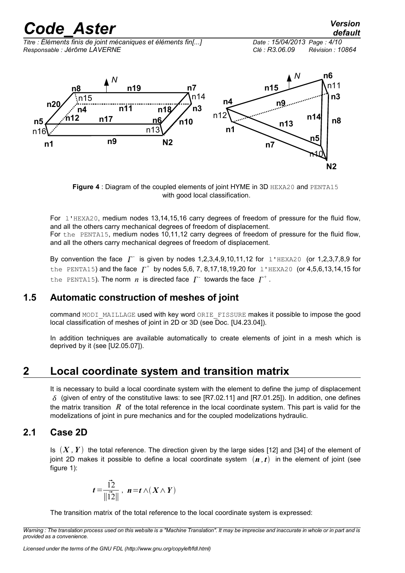*Titre : Éléments finis de joint mécaniques et éléments fin[...] Date : 15/04/2013 Page : 4/10 Responsable : Jérôme LAVERNE Clé : R3.06.09 Révision : 10864*



**Figure 4** : Diagram of the coupled elements of joint HYME in 3D HEXA20 and PENTA15 with good local classification.

For l'HEXA20, medium nodes 13,14,15,16 carry degrees of freedom of pressure for the fluid flow, and all the others carry mechanical degrees of freedom of displacement. For the PENTA15, medium nodes 10,11,12 carry degrees of freedom of pressure for the fluid flow,

and all the others carry mechanical degrees of freedom of displacement.

By convention the face  $\Gamma$  is given by nodes 1,2,3,4,9,10,11,12 for  $1$ 'HEXA20 (or 1,2,3,7,8,9 for the PENTA15) and the face  $\Gamma^+$  by nodes 5,6, 7, 8,17,18,19,20 for 1'HEXA20 (or 4,5,6,13,14,15 for the PENTA15). The norm  $n$  is directed face  $\varGamma^+$  towards the face  $\varGamma^+$ .

### **1.5 Automatic construction of meshes of joint**

command MODI\_MAILLAGE used with key word ORIE\_FISSURE makes it possible to impose the good local classification of meshes of joint in 2D or 3D (see Doc. [U4.23.04]).

In addition techniques are available automatically to create elements of joint in a mesh which is deprived by it (see [U2.05.07]).

## **2 Local coordinate system and transition matrix**

It is necessary to build a local coordinate system with the element to define the jump of displacement  $\delta$  (given of entry of the constitutive laws: to see [R7.02.11] and [R7.01.25]). In addition, one defines the matrix transition *R* of the total reference in the local coordinate system. This part is valid for the modelizations of joint in pure mechanics and for the coupled modelizations hydraulic.

#### **2.1 Case 2D**

Is  $(X, Y)$  the total reference. The direction given by the large sides [12] and [34] of the element of joint 2D makes it possible to define a local coordinate system  $(n, t)$  in the element of joint (see figure 1):

$$
t = \frac{\vec{12}}{\|\vec{12}\|}, \ \ n = t \wedge (X \wedge Y)
$$

The transition matrix of the total reference to the local coordinate system is expressed:

*Warning : The translation process used on this website is a "Machine Translation". It may be imprecise and inaccurate in whole or in part and is provided as a convenience.*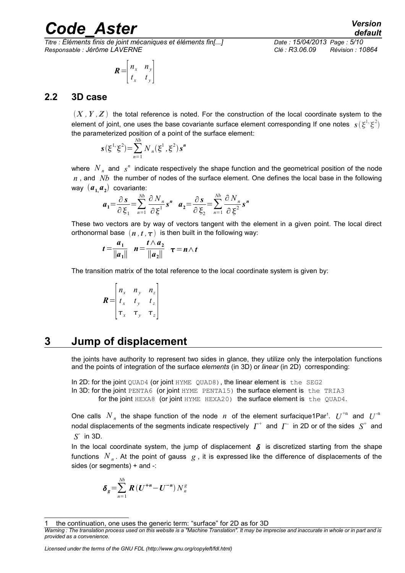*Titre : Éléments finis de joint mécaniques et éléments fin[...] Date : 15/04/2013 Page : 5/10 Responsable : Jérôme LAVERNE Clé : R3.06.09 Révision : 10864*

$$
\boldsymbol{R} = \begin{bmatrix} n_x & n_y \\ t_x & t_y \end{bmatrix}
$$

#### **2.2 3D case**

 $(X, Y, Z)$  the total reference is noted. For the construction of the local coordinate system to the element of joint, one uses the base covariante surface element corresponding If one notes  $s(\xi^1,\xi^2)$ the parameterized position of a point of the surface element:

$$
\mathbf{s}(\xi^{1},\xi^{2}) = \sum_{n=1}^{Nb} N_{n}(\xi^{1},\xi^{2})\mathbf{s}^{n}
$$

where  $N_{n}$  and  $s^{n}$  indicate respectively the shape function and the geometrical position of the node *n* , and *Nb* the number of nodes of the surface element. One defines the local base in the following way  $(a_{1,}a_{2})$  covariante:

$$
a_1 = \frac{\partial s}{\partial \xi_1} = \sum_{n=1}^{Nb} \frac{\partial N_n}{\partial \xi_1} s^n \quad a_2 = \frac{\partial s}{\partial \xi_2} = \sum_{n=1}^{Nb} \frac{\partial N_n}{\partial \xi_2} s^n
$$

These two vectors are by way of vectors tangent with the element in a given point. The local direct orthonormal base  $(n, t, \tau)$  is then built in the following way:

$$
t = \frac{a_1}{\|a_1\|} \quad n = \frac{t \wedge a_2}{\|a_2\|} \quad \tau = n \wedge t
$$

The transition matrix of the total reference to the local coordinate system is given by:

$$
\boldsymbol{R} = \begin{bmatrix} n_x & n_y & n_z \\ t_x & t_y & t_z \\ \tau_x & \tau_y & \tau_z \end{bmatrix}
$$

### **3 Jump of displacement**

<span id="page-4-1"></span>the joints have authority to represent two sides in glance, they utilize only the interpolation functions and the points of integration of the surface *elements* (in 3D) or *linear* (in 2D) corresponding:

In 2D: for the joint QUAD4 (or joint HYME QUAD8), the linear element is the SEG2 In 3D: for the joint PENTA6 (or joint HYME PENTA15) the surface element is the TRIA3 for the joint HEXA8 (or joint HYME HEXA20) the surface element is the OUAD4.

One calls  $N_n$  the shape function of the node  $n$  of the element surfacique[1](#page-4-0)Par<sup>1</sup>.  $U^{+n}$  and  $U^{+n}$ nodal displacements of the segments indicate respectively  $\ \varGamma^{+}\,$  and  $\ \varGamma^{-}\,$  in 2D or of the sides  $\ \,S^{+}\,$  and  $S^{\dagger}$  in 3D.

In the local coordinate system, the jump of displacement  $\delta$  is discretized starting from the shape functions  $\left. N_{\,n} \right.$  At the point of gauss  $\,g$  , it is expressed like the difference of displacements of the sides (or segments) + and -:

$$
\delta_g = \sum_{n=1}^{Nb} R\left(U^{+n} - U^{-n}\right) N_n^g
$$

<span id="page-4-0"></span>the continuation, one uses the generic term: "surface" for 2D as for 3D

*Licensed under the terms of the GNU FDL (http://www.gnu.org/copyleft/fdl.html)*

*Warning : The translation process used on this website is a "Machine Translation". It may be imprecise and inaccurate in whole or in part and is provided as a convenience.*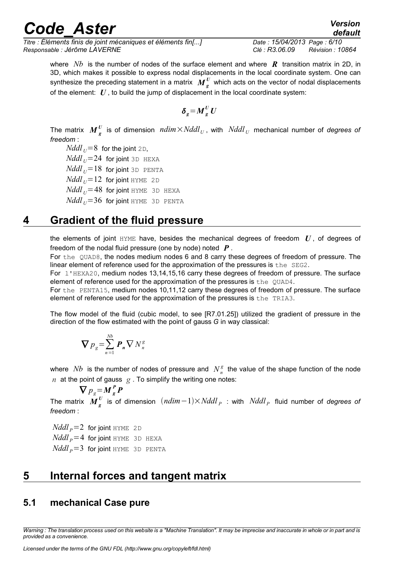*Titre : Éléments finis de joint mécaniques et éléments fin[...] Date : 15/04/2013 Page : 6/10 Responsable : Jérôme LAVERNE Clé : R3.06.09 Révision : 10864*

*default*

where *Nb* is the number of nodes of the surface element and where *R* transition matrix in 2D, in 3D, which makes it possible to express nodal displacements in the local coordinate system. One can synthesize the preceding statement in a matrix  $\textit{M}^{\textit{U}}_{\textit{g}}$  which acts on the vector of nodal displacements of the element: *U* , to build the jump of displacement in the local coordinate system:

$$
\delta_g = M_g^U U
$$

The matrix  $\boldsymbol{M}^{\boldsymbol{U}}_{\boldsymbol{g}}$  is of dimension  $\textit{ndim}\times\textit{Nddl}_U$ , with  $\textit{Nddl}_U$  mechanical number of *degrees of freedom* :

*Nddl*  $_U$ =8 for the joint 2D, *Nddl*  $_U$ =24 for joint 3D HEXA  $N$ *ddl*  $_U$ =18 for joint 3D PENTA  $N$ *ddl*  $_U$ =12 for joint HYME 2D  $N$ *ddl*  $_U$  = 48 for joint HYME 3D HEXA  $N$ *ddl*<sub> $U$ </sub>=36 for joint HYME 3D PENTA

### **4 Gradient of the fluid pressure**

<span id="page-5-1"></span>the elements of joint  $HYME$  have, besides the mechanical degrees of freedom  $U$ , of degrees of freedom of the nodal fluid pressure (one by node) noted *P* .

For the QUAD8, the nodes medium nodes 6 and 8 carry these degrees of freedom of pressure. The linear element of reference used for the approximation of the pressures is the SEG2.

For l'HEXA20, medium nodes 13,14,15,16 carry these degrees of freedom of pressure. The surface element of reference used for the approximation of the pressures is the QUAD4.

For the PENTA15, medium nodes 10,11,12 carry these degrees of freedom of pressure. The surface element of reference used for the approximation of the pressures is the TRIA3.

The flow model of the fluid (cubic model, to see [R7.01.25]) utilized the gradient of pressure in the direction of the flow estimated with the point of gauss *G* in way classical:

$$
\boldsymbol{\nabla} p_{g} = \sum_{n=1}^{Nb} \boldsymbol{P}_{n} \boldsymbol{\nabla} N_{n}^{g}
$$

where  $Nb$  is the number of nodes of pressure and  $N_{n}^{\mathcal{g}}$  the value of the shape function of the node *n* at the point of gauss  $g$ . To simplify the writing one notes:

 $\nabla p_{g} = M_g^P P$ The matrix  $\boldsymbol{M}^{\boldsymbol{U}}_{\boldsymbol{g}}$  is of dimension  $\ (\boldsymbol{ndim-1})\times Nddl_{\ \boldsymbol{P}}\ :$  with  $\ Nddl_{\ \boldsymbol{P}}\,$  fluid number of *degrees of freedom* :

 $N$ *ddl*  $_p$ =2 for joint HYME 2D  $N$ *ddl*  $_p$  = 4 for joint HYME 3D HEXA  $N$ *ddl*  $_p$ =3 for joint HYME 3D PENTA

### **5 Internal forces and tangent matrix**

### <span id="page-5-0"></span>**5.1 mechanical Case pure**

*Warning : The translation process used on this website is a "Machine Translation". It may be imprecise and inaccurate in whole or in part and is provided as a convenience.*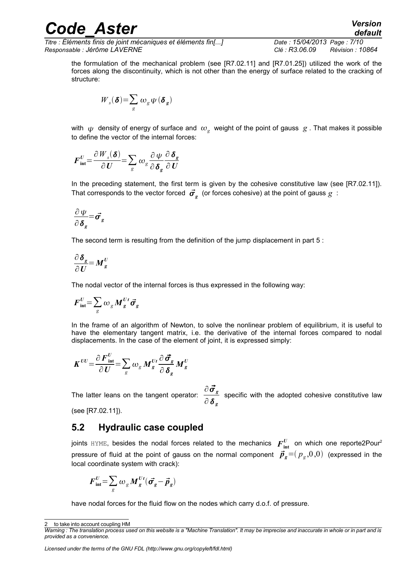*Titre : Éléments finis de joint mécaniques et éléments fin[...] Date : 15/04/2013 Page : 7/10 Responsable : Jérôme LAVERNE Clé : R3.06.09 Révision : 10864*

the formulation of the mechanical problem (see [R7.02.11] and [R7.01.25]) utilized the work of the forces along the discontinuity, which is not other than the energy of surface related to the cracking of structure:

$$
W_{s}(\boldsymbol{\delta}) = \sum_{g} \omega_{g} \psi(\boldsymbol{\delta}_{g})
$$

with  $\,\psi\,$  density of energy of surface and  $\,\omega_{g}\,$  weight of the point of gauss  $\,g$  . That makes it possible to define the vector of the internal forces:

$$
\boldsymbol{F}_{\text{int}}^U \!=\! \frac{\partial \boldsymbol{W}_s(\boldsymbol{\delta})}{\partial \boldsymbol{U}} \!=\! \sum_{g} \omega_g \frac{\partial \boldsymbol{\psi}}{\partial \boldsymbol{\delta}_g} \frac{\partial \boldsymbol{\delta}_g}{\partial \boldsymbol{U}}
$$

In the preceding statement, the first term is given by the cohesive constitutive law (see [R7.02.11]). That corresponds to the vector forced  $\vec{\sigma_{_{g}}}$  (or forces cohesive) at the point of gauss  $g$  :

$$
\frac{\partial \psi}{\partial \delta_g} = \vec{\sigma}_g
$$

The second term is resulting from the definition of the jump displacement in part [5](#page-4-1) :

$$
\frac{\partial \delta_g}{\partial U} = M_g^U
$$

The nodal vector of the internal forces is thus expressed in the following way:

$$
\boldsymbol{F}_{\text{int}}^U \!=\! \sum_g \omega_g \boldsymbol{M}_g^{Ut} \vec{\boldsymbol{\sigma}}_g
$$

In the frame of an algorithm of Newton, to solve the nonlinear problem of equilibrium, it is useful to have the elementary tangent matrix, i.e. the derivative of the internal forces compared to nodal displacements. In the case of the element of joint, it is expressed simply:

$$
K^{UU} = \frac{\partial F_{int}^U}{\partial U} = \sum_g \omega_g M_g^{Ut} \frac{\partial \vec{\sigma}_g}{\partial \delta_g} M_g^U
$$

The latter leans on the tangent operator:  $\frac{\partial \vec{\sigma}_s}{\partial s}$ ∂ *<sup>g</sup>* specific with the adopted cohesive constitutive law

(see [R7.02.11]).

#### **5.2 Hydraulic case coupled**

joints  $HYME$ , besides the nodal forces related to the mechanics  $\boldsymbol{F}_{\text{int}}^{U}$  on which one reporte[2](#page-6-0)Pour<sup>2</sup> pressure of fluid at the point of gauss on the normal component  $\vec{\bm{p}}_g{=}(\bm{p}_g{,}0{,}0)$  (expressed in the local coordinate system with crack):

$$
\boldsymbol{F}_{\text{int}}^U \!=\! \sum_{g} \omega_g \boldsymbol{M}_g^{Ut} (\vec{\boldsymbol{\sigma}_g} - \vec{\boldsymbol{p}}_g)
$$

have nodal forces for the fluid flow on the nodes which carry d.o.f. of pressure.

*Licensed under the terms of the GNU FDL (http://www.gnu.org/copyleft/fdl.html)*

<span id="page-6-0"></span>to take into account coupling HM

*Warning : The translation process used on this website is a "Machine Translation". It may be imprecise and inaccurate in whole or in part and is provided as a convenience.*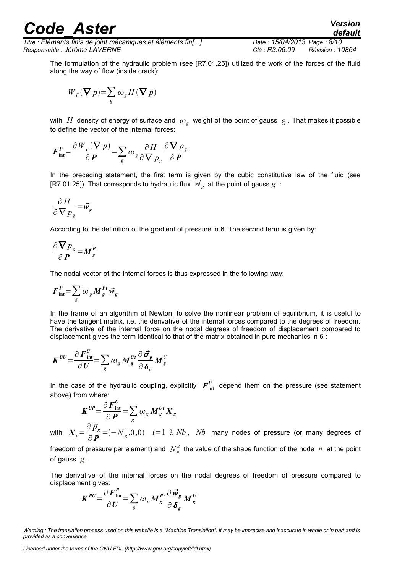*Titre : Éléments finis de joint mécaniques et éléments fin[...] Date : 15/04/2013 Page : 8/10 Responsable : Jérôme LAVERNE Clé : R3.06.09 Révision : 10864*

*default*

The formulation of the hydraulic problem (see [R7.01.25]) utilized the work of the forces of the fluid along the way of flow (inside crack):

$$
W_{\scriptscriptstyle F}(\bm{\nabla}\, p) {=} \sum_{\scriptscriptstyle g} \omega_{\scriptscriptstyle g} H(\bm{\nabla}\, p)
$$

with  $\,H\,$  density of energy of surface and  $\,\omega_{_S}\,$  weight of the point of gauss  $\,g$  . That makes it possible to define the vector of the internal forces:

$$
\boldsymbol{F}_{\text{int}}^{\text{P}} = \frac{\partial W_F (\nabla p)}{\partial \text{P}} = \sum_{g} \omega_g \frac{\partial H}{\partial \nabla p_g} \frac{\partial \nabla p_g}{\partial \text{P}}
$$

In the preceding statement, the first term is given by the cubic constitutive law of the fluid (see [R7.01.25]). That corresponds to hydraulic flux  $\vec{w}_g^{\dagger}$  at the point of gauss  $g^{\dagger}$ :

$$
\frac{\partial H}{\partial \nabla p_g} = \vec{w}_g
$$

According to the definition of the gradient of pressure in [6.](#page-5-1) The second term is given by:

$$
\frac{\partial \nabla p_{g}}{\partial P} = M_{g}^{P}
$$

The nodal vector of the internal forces is thus expressed in the following way:

$$
F_{\text{int}}^P = \sum_{g} \omega_g M_g^{Pt} \vec{w}_g
$$

In the frame of an algorithm of Newton, to solve the nonlinear problem of equilibrium, it is useful to have the tangent matrix, i.e. the derivative of the internal forces compared to the degrees of freedom. The derivative of the internal force on the nodal degrees of freedom of displacement compared to displacement gives the term identical to that of the matrix obtained in pure mechanics in [6](#page-5-0) :

$$
K^{UU} = \frac{\partial F_{\text{int}}^U}{\partial U} = \sum_g \omega_g M_g^{Ut} \frac{\partial \vec{\sigma}_g}{\partial \delta_g} M_g^U
$$

In the case of the hydraulic coupling, explicitly  $F_{\text{int}}^{U}$  depend them on the pressure (see statement above) from where:

$$
K^{UP} = \frac{\partial F_{\text{int}}^U}{\partial P} = \sum_g \omega_g M_g^{Ut} X_g
$$

with  $X_{g}$  = ∂ *p<sup>g</sup>*  $\frac{\partial^2 P_g}{\partial P}$  =( $-N_g^i$ ,0,0) *i*=1 à *Nb*, *Nb* many nodes of pressure (or many degrees of

freedom of pressure per element) and  $N_{n}^{\mathcal{g}}$  the value of the shape function of the node  $\,n\,$  at the point of gauss *g* .

The derivative of the internal forces on the nodal degrees of freedom of pressure compared to displacement gives:

$$
K^{PU} = \frac{\partial F_{\text{int}}^{P}}{\partial U} = \sum_{g} \omega_{g} M_{g}^{Pt} \frac{\partial \vec{w}_{g}}{\partial \delta_{g}} M_{g}^{U}
$$

*Licensed under the terms of the GNU FDL (http://www.gnu.org/copyleft/fdl.html)*

*Warning : The translation process used on this website is a "Machine Translation". It may be imprecise and inaccurate in whole or in part and is provided as a convenience.*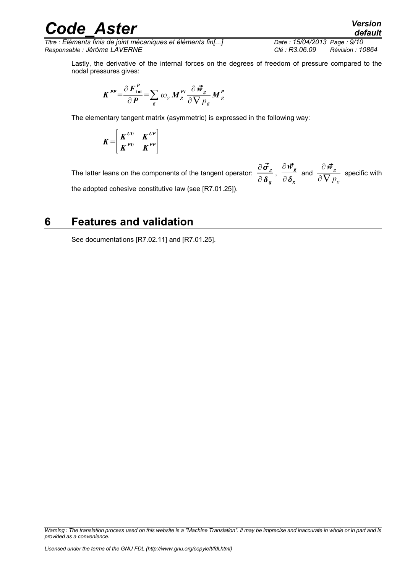*Titre : Éléments finis de joint mécaniques et éléments fin[...] Date : 15/04/2013 Page : 9/10 Responsable : Jérôme LAVERNE Clé : R3.06.09 Révision : 10864*

Lastly, the derivative of the internal forces on the degrees of freedom of pressure compared to the nodal pressures gives:

$$
K^{PP} = \frac{\partial F_{\text{int}}^P}{\partial P} = \sum_{g} \omega_g M_g^{Pt} \frac{\partial \vec{w}_g}{\partial \nabla p_g} M_g^P
$$

The elementary tangent matrix (asymmetric) is expressed in the following way:

$$
K = \begin{bmatrix} K^{UU} & K^{UP} \\ K^{PU} & K^{PP} \end{bmatrix}
$$

The latter leans on the components of the tangent operator:  $\frac{\partial \vec{\sigma}_s}{\partial s}$ ∂ *<sup>g</sup>*  $\frac{\partial \vec{w}_g}{\partial x}$  $\frac{\partial \vec{w_g}}{\partial \, \boldsymbol{\delta_g}}$  and  $\frac{\partial \vec{w_g}}{\partial \nabla \, p}$  $\overline{\partial\,\nabla\, p}_{g}^{\;\;\;\mathbf{s}}$  specific with the adopted cohesive constitutive law (see [R7.01.25]).

### **6 Features and validation**

See documentations [R7.02.11] and [R7.01.25].

*Warning : The translation process used on this website is a "Machine Translation". It may be imprecise and inaccurate in whole or in part and is provided as a convenience.*